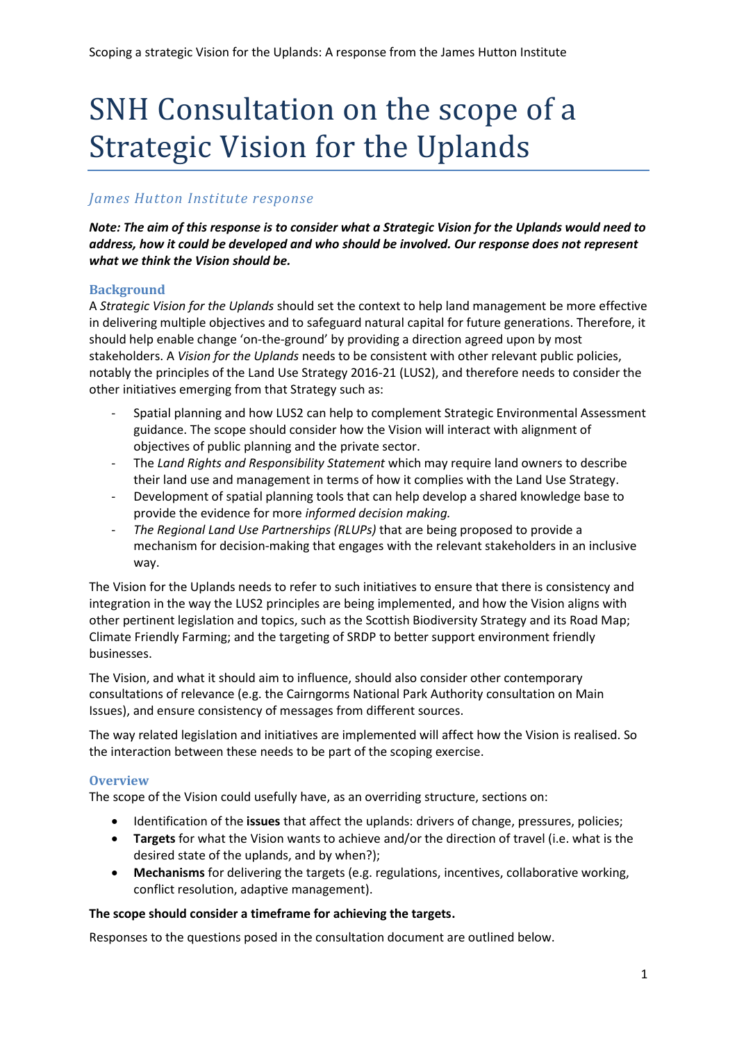# SNH Consultation on the scope of a Strategic Vision for the Uplands

## *James Hutton Institute response*

*Note: The aim of this response is to consider what a Strategic Vision for the Uplands would need to address, how it could be developed and who should be involved. Our response does not represent what we think the Vision should be.* 

#### **Background**

A *Strategic Vision for the Uplands* should set the context to help land management be more effective in delivering multiple objectives and to safeguard natural capital for future generations. Therefore, it should help enable change 'on-the-ground' by providing a direction agreed upon by most stakeholders. A *Vision for the Uplands* needs to be consistent with other relevant public policies, notably the principles of the Land Use Strategy 2016-21 (LUS2), and therefore needs to consider the other initiatives emerging from that Strategy such as:

- Spatial planning and how LUS2 can help to complement Strategic Environmental Assessment guidance. The scope should consider how the Vision will interact with alignment of objectives of public planning and the private sector.
- The *Land Rights and Responsibility Statement* which may require land owners to describe their land use and management in terms of how it complies with the Land Use Strategy.
- Development of spatial planning tools that can help develop a shared knowledge base to provide the evidence for more *informed decision making.*
- *The Regional Land Use Partnerships (RLUPs)* that are being proposed to provide a mechanism for decision-making that engages with the relevant stakeholders in an inclusive way.

The Vision for the Uplands needs to refer to such initiatives to ensure that there is consistency and integration in the way the LUS2 principles are being implemented, and how the Vision aligns with other pertinent legislation and topics, such as the Scottish Biodiversity Strategy and its Road Map; Climate Friendly Farming; and the targeting of SRDP to better support environment friendly businesses.

The Vision, and what it should aim to influence, should also consider other contemporary consultations of relevance (e.g. the Cairngorms National Park Authority consultation on Main Issues), and ensure consistency of messages from different sources.

The way related legislation and initiatives are implemented will affect how the Vision is realised. So the interaction between these needs to be part of the scoping exercise.

#### **Overview**

The scope of the Vision could usefully have, as an overriding structure, sections on:

- Identification of the **issues** that affect the uplands: drivers of change, pressures, policies;
- **Targets** for what the Vision wants to achieve and/or the direction of travel (i.e. what is the desired state of the uplands, and by when?);
- **Mechanisms** for delivering the targets (e.g. regulations, incentives, collaborative working, conflict resolution, adaptive management).

#### **The scope should consider a timeframe for achieving the targets.**

Responses to the questions posed in the consultation document are outlined below.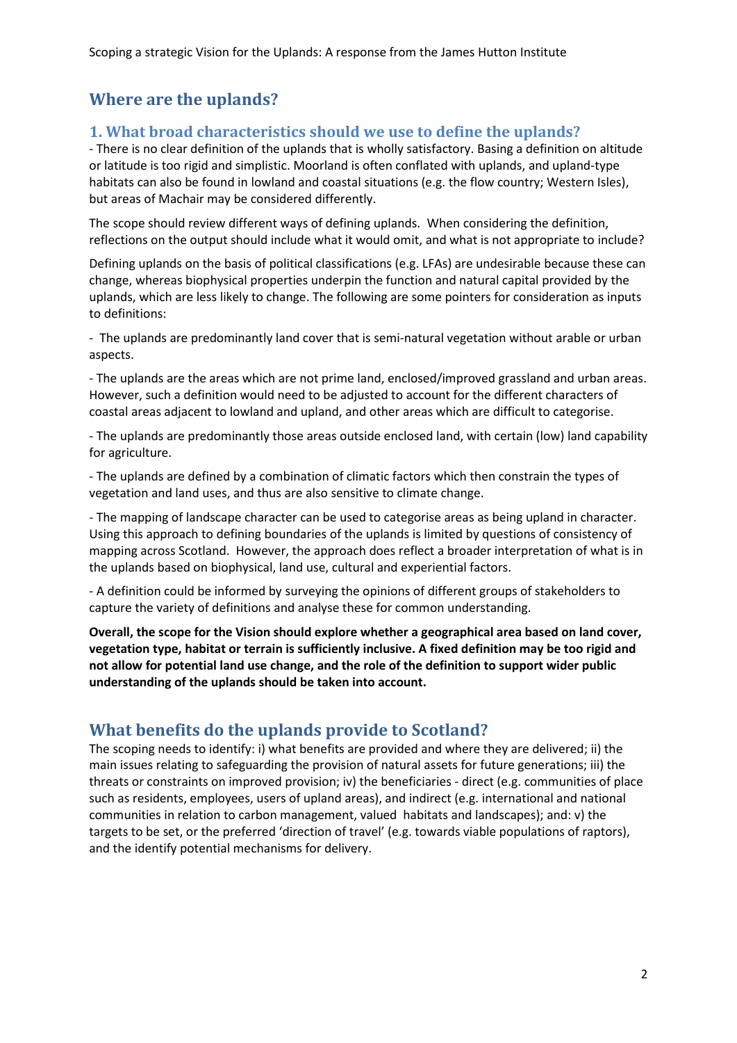## **Where are the uplands?**

#### **1. What broad characteristics should we use to define the uplands?**

- There is no clear definition of the uplands that is wholly satisfactory. Basing a definition on altitude or latitude is too rigid and simplistic. Moorland is often conflated with uplands, and upland-type habitats can also be found in lowland and coastal situations (e.g. the flow country; Western Isles), but areas of Machair may be considered differently.

The scope should review different ways of defining uplands. When considering the definition, reflections on the output should include what it would omit, and what is not appropriate to include?

Defining uplands on the basis of political classifications (e.g. LFAs) are undesirable because these can change, whereas biophysical properties underpin the function and natural capital provided by the uplands, which are less likely to change. The following are some pointers for consideration as inputs to definitions:

- The uplands are predominantly land cover that is semi-natural vegetation without arable or urban aspects.

- The uplands are the areas which are not prime land, enclosed/improved grassland and urban areas. However, such a definition would need to be adjusted to account for the different characters of coastal areas adjacent to lowland and upland, and other areas which are difficult to categorise.

- The uplands are predominantly those areas outside enclosed land, with certain (low) land capability for agriculture.

- The uplands are defined by a combination of climatic factors which then constrain the types of vegetation and land uses, and thus are also sensitive to climate change.

- The mapping of landscape character can be used to categorise areas as being upland in character. Using this approach to defining boundaries of the uplands is limited by questions of consistency of mapping across Scotland. However, the approach does reflect a broader interpretation of what is in the uplands based on biophysical, land use, cultural and experiential factors.

- A definition could be informed by surveying the opinions of different groups of stakeholders to capture the variety of definitions and analyse these for common understanding.

**Overall, the scope for the Vision should explore whether a geographical area based on land cover, vegetation type, habitat or terrain is sufficiently inclusive. A fixed definition may be too rigid and not allow for potential land use change, and the role of the definition to support wider public understanding of the uplands should be taken into account.**

## **What benefits do the uplands provide to Scotland?**

The scoping needs to identify: i) what benefits are provided and where they are delivered; ii) the main issues relating to safeguarding the provision of natural assets for future generations; iii) the threats or constraints on improved provision; iv) the beneficiaries - direct (e.g. communities of place such as residents, employees, users of upland areas), and indirect (e.g. international and national communities in relation to carbon management, valued habitats and landscapes); and: v) the targets to be set, or the preferred 'direction of travel' (e.g. towards viable populations of raptors), and the identify potential mechanisms for delivery.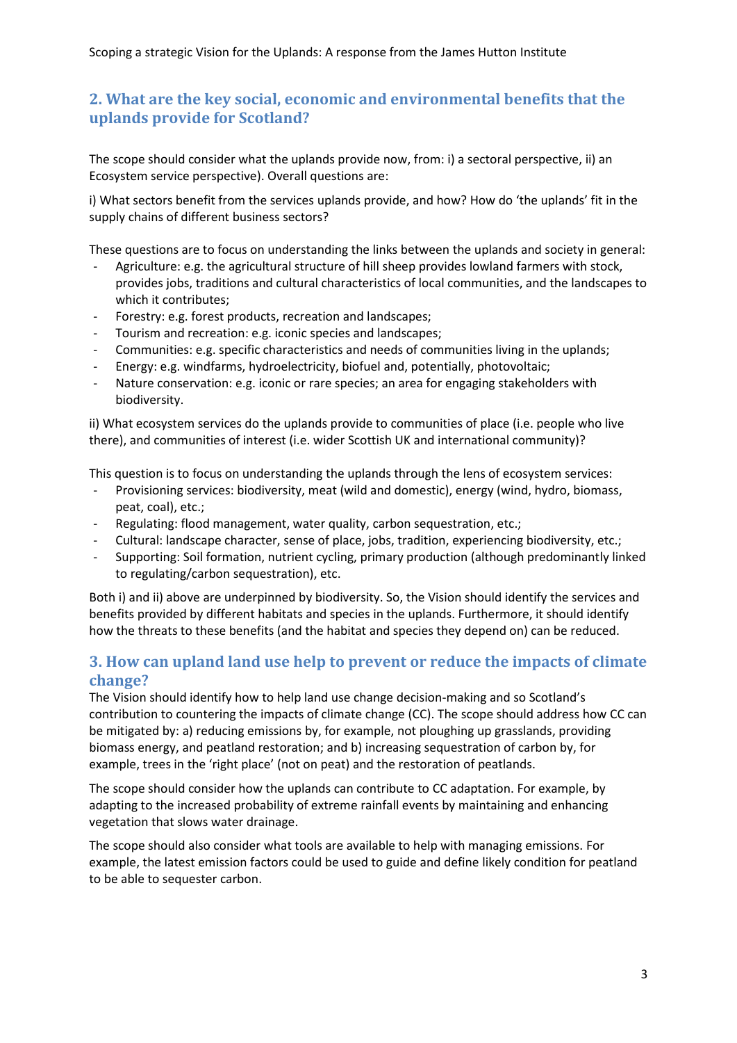## **2. What are the key social, economic and environmental benefits that the uplands provide for Scotland?**

The scope should consider what the uplands provide now, from: i) a sectoral perspective, ii) an Ecosystem service perspective). Overall questions are:

i) What sectors benefit from the services uplands provide, and how? How do 'the uplands' fit in the supply chains of different business sectors?

These questions are to focus on understanding the links between the uplands and society in general:

- Agriculture: e.g. the agricultural structure of hill sheep provides lowland farmers with stock, provides jobs, traditions and cultural characteristics of local communities, and the landscapes to which it contributes;
- Forestry: e.g. forest products, recreation and landscapes;
- Tourism and recreation: e.g. iconic species and landscapes;
- Communities: e.g. specific characteristics and needs of communities living in the uplands;
- Energy: e.g. windfarms, hydroelectricity, biofuel and, potentially, photovoltaic;
- Nature conservation: e.g. iconic or rare species; an area for engaging stakeholders with biodiversity.

ii) What ecosystem services do the uplands provide to communities of place (i.e. people who live there), and communities of interest (i.e. wider Scottish UK and international community)?

This question is to focus on understanding the uplands through the lens of ecosystem services:

- Provisioning services: biodiversity, meat (wild and domestic), energy (wind, hydro, biomass, peat, coal), etc.;
- Regulating: flood management, water quality, carbon sequestration, etc.;
- Cultural: landscape character, sense of place, jobs, tradition, experiencing biodiversity, etc.;
- Supporting: Soil formation, nutrient cycling, primary production (although predominantly linked to regulating/carbon sequestration), etc.

Both i) and ii) above are underpinned by biodiversity. So, the Vision should identify the services and benefits provided by different habitats and species in the uplands. Furthermore, it should identify how the threats to these benefits (and the habitat and species they depend on) can be reduced.

#### **3. How can upland land use help to prevent or reduce the impacts of climate change?**

The Vision should identify how to help land use change decision-making and so Scotland's contribution to countering the impacts of climate change (CC). The scope should address how CC can be mitigated by: a) reducing emissions by, for example, not ploughing up grasslands, providing biomass energy, and peatland restoration; and b) increasing sequestration of carbon by, for example, trees in the 'right place' (not on peat) and the restoration of peatlands.

The scope should consider how the uplands can contribute to CC adaptation. For example, by adapting to the increased probability of extreme rainfall events by maintaining and enhancing vegetation that slows water drainage.

The scope should also consider what tools are available to help with managing emissions. For example, the latest emission factors could be used to guide and define likely condition for peatland to be able to sequester carbon.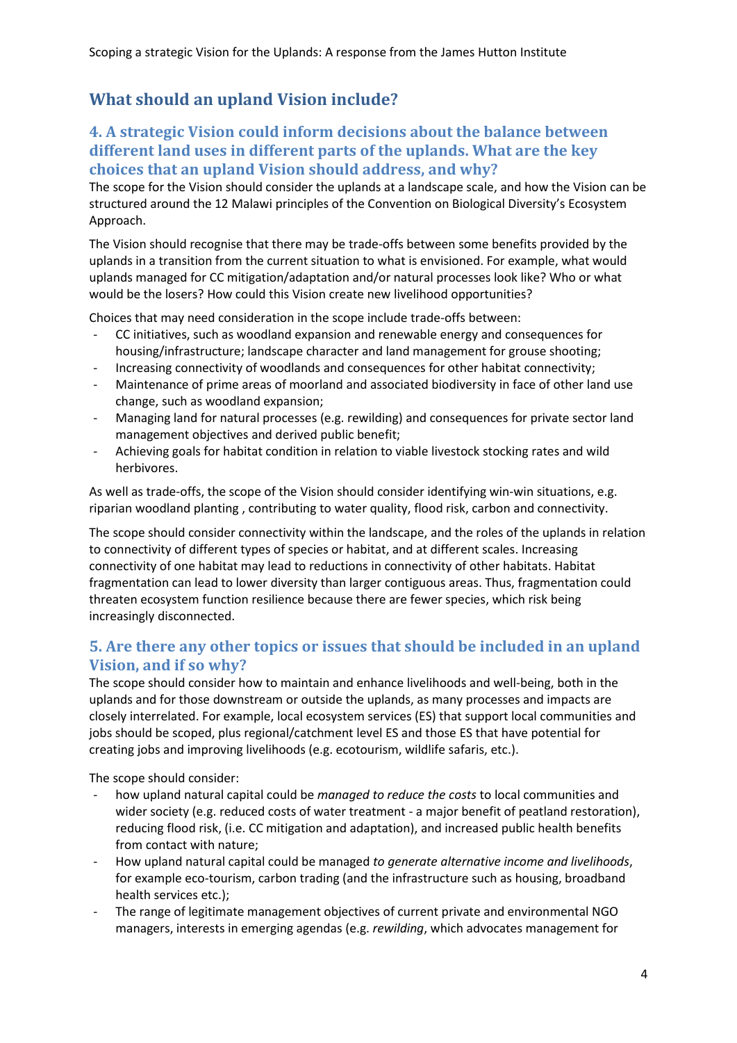# **What should an upland Vision include?**

#### **4. A strategic Vision could inform decisions about the balance between different land uses in different parts of the uplands. What are the key choices that an upland Vision should address, and why?**

The scope for the Vision should consider the uplands at a landscape scale, and how the Vision can be structured around the 12 Malawi principles of the Convention on Biological Diversity's Ecosystem Approach.

The Vision should recognise that there may be trade-offs between some benefits provided by the uplands in a transition from the current situation to what is envisioned. For example, what would uplands managed for CC mitigation/adaptation and/or natural processes look like? Who or what would be the losers? How could this Vision create new livelihood opportunities?

Choices that may need consideration in the scope include trade-offs between:

- CC initiatives, such as woodland expansion and renewable energy and consequences for housing/infrastructure; landscape character and land management for grouse shooting;
- Increasing connectivity of woodlands and consequences for other habitat connectivity;
- Maintenance of prime areas of moorland and associated biodiversity in face of other land use change, such as woodland expansion;
- Managing land for natural processes (e.g. rewilding) and consequences for private sector land management objectives and derived public benefit;
- Achieving goals for habitat condition in relation to viable livestock stocking rates and wild herbivores.

As well as trade-offs, the scope of the Vision should consider identifying win-win situations, e.g. riparian woodland planting , contributing to water quality, flood risk, carbon and connectivity.

The scope should consider connectivity within the landscape, and the roles of the uplands in relation to connectivity of different types of species or habitat, and at different scales. Increasing connectivity of one habitat may lead to reductions in connectivity of other habitats. Habitat fragmentation can lead to lower diversity than larger contiguous areas. Thus, fragmentation could threaten ecosystem function resilience because there are fewer species, which risk being increasingly disconnected.

## **5. Are there any other topics or issues that should be included in an upland Vision, and if so why?**

The scope should consider how to maintain and enhance livelihoods and well-being, both in the uplands and for those downstream or outside the uplands, as many processes and impacts are closely interrelated. For example, local ecosystem services (ES) that support local communities and jobs should be scoped, plus regional/catchment level ES and those ES that have potential for creating jobs and improving livelihoods (e.g. ecotourism, wildlife safaris, etc.).

The scope should consider:

- how upland natural capital could be *managed to reduce the costs* to local communities and wider society (e.g. reduced costs of water treatment - a major benefit of peatland restoration), reducing flood risk, (i.e. CC mitigation and adaptation), and increased public health benefits from contact with nature;
- How upland natural capital could be managed *to generate alternative income and livelihoods*, for example eco-tourism, carbon trading (and the infrastructure such as housing, broadband health services etc.);
- The range of legitimate management objectives of current private and environmental NGO managers, interests in emerging agendas (e.g. *rewilding*, which advocates management for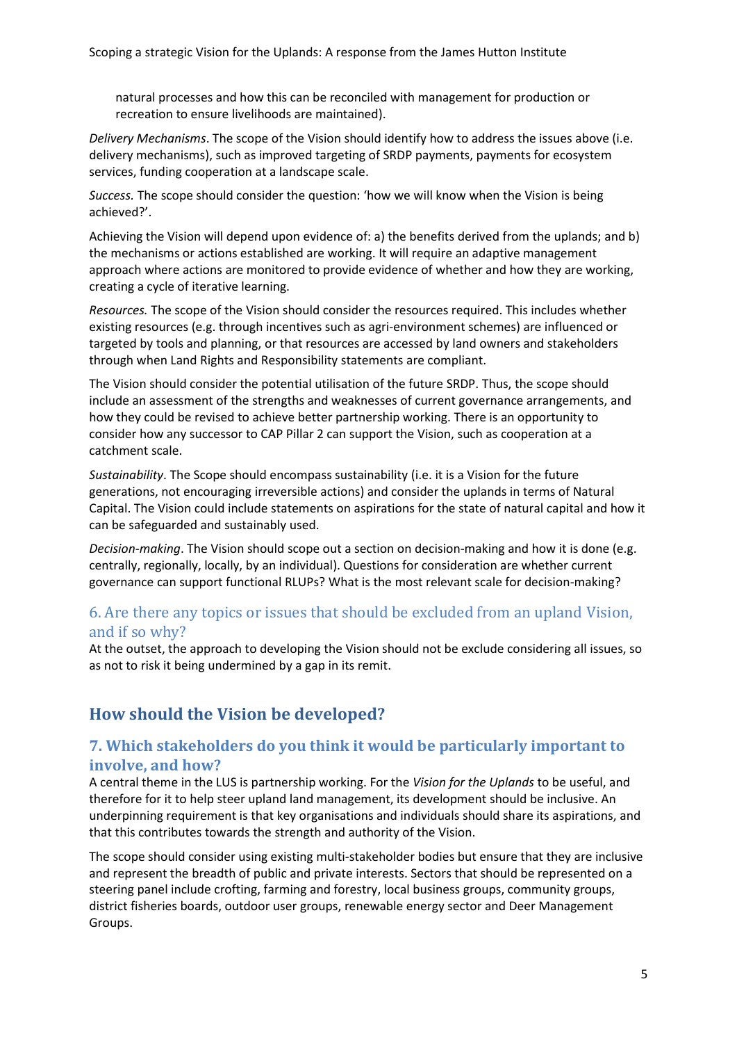natural processes and how this can be reconciled with management for production or recreation to ensure livelihoods are maintained).

*Delivery Mechanisms*. The scope of the Vision should identify how to address the issues above (i.e. delivery mechanisms), such as improved targeting of SRDP payments, payments for ecosystem services, funding cooperation at a landscape scale.

*Success.* The scope should consider the question: 'how we will know when the Vision is being achieved?'.

Achieving the Vision will depend upon evidence of: a) the benefits derived from the uplands; and b) the mechanisms or actions established are working. It will require an adaptive management approach where actions are monitored to provide evidence of whether and how they are working, creating a cycle of iterative learning.

*Resources.* The scope of the Vision should consider the resources required. This includes whether existing resources (e.g. through incentives such as agri-environment schemes) are influenced or targeted by tools and planning, or that resources are accessed by land owners and stakeholders through when Land Rights and Responsibility statements are compliant.

The Vision should consider the potential utilisation of the future SRDP. Thus, the scope should include an assessment of the strengths and weaknesses of current governance arrangements, and how they could be revised to achieve better partnership working. There is an opportunity to consider how any successor to CAP Pillar 2 can support the Vision, such as cooperation at a catchment scale.

*Sustainability*. The Scope should encompass sustainability (i.e. it is a Vision for the future generations, not encouraging irreversible actions) and consider the uplands in terms of Natural Capital. The Vision could include statements on aspirations for the state of natural capital and how it can be safeguarded and sustainably used.

*Decision-making*. The Vision should scope out a section on decision-making and how it is done (e.g. centrally, regionally, locally, by an individual). Questions for consideration are whether current governance can support functional RLUPs? What is the most relevant scale for decision-making?

#### 6. Are there any topics or issues that should be excluded from an upland Vision, and if so why?

At the outset, the approach to developing the Vision should not be exclude considering all issues, so as not to risk it being undermined by a gap in its remit.

# **How should the Vision be developed?**

## **7. Which stakeholders do you think it would be particularly important to involve, and how?**

A central theme in the LUS is partnership working. For the *Vision for the Uplands* to be useful, and therefore for it to help steer upland land management, its development should be inclusive. An underpinning requirement is that key organisations and individuals should share its aspirations, and that this contributes towards the strength and authority of the Vision.

The scope should consider using existing multi-stakeholder bodies but ensure that they are inclusive and represent the breadth of public and private interests. Sectors that should be represented on a steering panel include crofting, farming and forestry, local business groups, community groups, district fisheries boards, outdoor user groups, renewable energy sector and Deer Management Groups.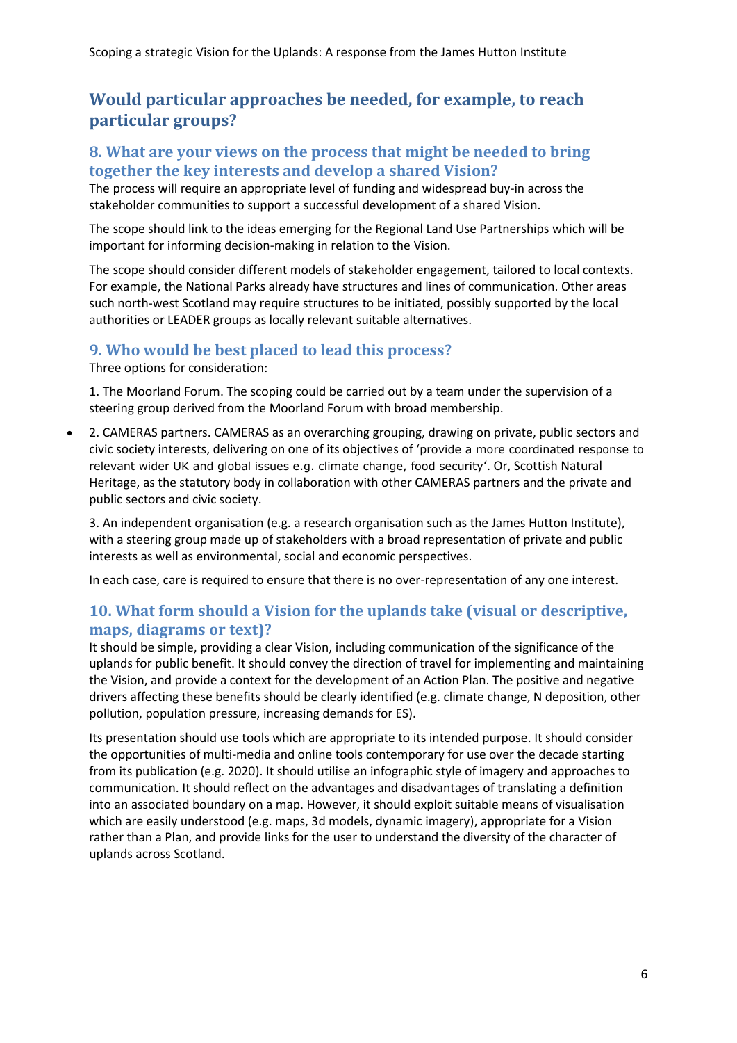## **Would particular approaches be needed, for example, to reach particular groups?**

#### **8. What are your views on the process that might be needed to bring together the key interests and develop a shared Vision?**

The process will require an appropriate level of funding and widespread buy-in across the stakeholder communities to support a successful development of a shared Vision.

The scope should link to the ideas emerging for the Regional Land Use Partnerships which will be important for informing decision-making in relation to the Vision.

The scope should consider different models of stakeholder engagement, tailored to local contexts. For example, the National Parks already have structures and lines of communication. Other areas such north-west Scotland may require structures to be initiated, possibly supported by the local authorities or LEADER groups as locally relevant suitable alternatives.

#### **9. Who would be best placed to lead this process?**

Three options for consideration:

1. The Moorland Forum. The scoping could be carried out by a team under the supervision of a steering group derived from the Moorland Forum with broad membership.

 2. CAMERAS partners. CAMERAS as an overarching grouping, drawing on private, public sectors and civic society interests, delivering on one of its objectives of 'provide a more coordinated response to relevant wider UK and global issues e.g. climate change, food security'. Or, Scottish Natural Heritage, as the statutory body in collaboration with other CAMERAS partners and the private and public sectors and civic society.

3. An independent organisation (e.g. a research organisation such as the James Hutton Institute), with a steering group made up of stakeholders with a broad representation of private and public interests as well as environmental, social and economic perspectives.

In each case, care is required to ensure that there is no over-representation of any one interest.

## **10. What form should a Vision for the uplands take (visual or descriptive, maps, diagrams or text)?**

It should be simple, providing a clear Vision, including communication of the significance of the uplands for public benefit. It should convey the direction of travel for implementing and maintaining the Vision, and provide a context for the development of an Action Plan. The positive and negative drivers affecting these benefits should be clearly identified (e.g. climate change, N deposition, other pollution, population pressure, increasing demands for ES).

Its presentation should use tools which are appropriate to its intended purpose. It should consider the opportunities of multi-media and online tools contemporary for use over the decade starting from its publication (e.g. 2020). It should utilise an infographic style of imagery and approaches to communication. It should reflect on the advantages and disadvantages of translating a definition into an associated boundary on a map. However, it should exploit suitable means of visualisation which are easily understood (e.g. maps, 3d models, dynamic imagery), appropriate for a Vision rather than a Plan, and provide links for the user to understand the diversity of the character of uplands across Scotland.